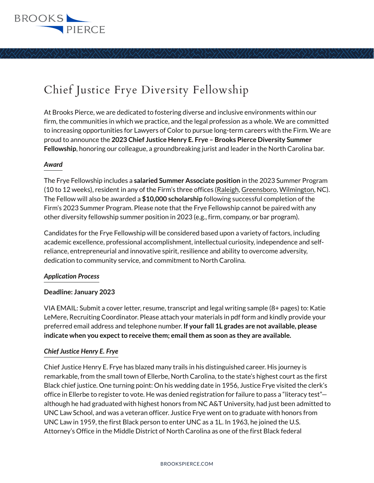

# Chief Justice Frye Diversity Fellowship

At Brooks Pierce, we are dedicated to fostering diverse and inclusive environments within our firm, the communities in which we practice, and the legal profession as a whole. We are committed to increasing opportunities for Lawyers of Color to pursue long-term careers with the Firm. We are proud to announce the **2023 Chief Justice Henry E. Frye – Brooks Pierce Diversity Summer Fellowship**, honoring our colleague, a groundbreaking jurist and leader in the North Carolina bar.

## *Award*

The Frye Fellowship includes a **salaried Summer Associate position** in the 2023 Summer Program (10 to 12 weeks), resident in any of the Firm's three offices (Raleigh, Greensboro, Wilmington, NC). The Fellow will also be awarded a **\$10,000 scholarship** following successful completion of the Firm's 2023 Summer Program. Please note that the Frye Fellowship cannot be paired with any other diversity fellowship summer position in 2023 (e.g., firm, company, or bar program).

Candidates for the Frye Fellowship will be considered based upon a variety of factors, including academic excellence, professional accomplishment, intellectual curiosity, independence and selfreliance, entrepreneurial and innovative spirit, resilience and ability to overcome adversity, dedication to community service, and commitment to North Carolina.

## *Application Process*

## **Deadline: January 2023**

VIA EMAIL: Submit a cover letter, resume, transcript and legal writing sample (8+ pages) to: Katie LeMere, Recruiting Coordinator. Please attach your materials in pdf form and kindly provide your preferred email address and telephone number. **If your fall 1L grades are not available, please indicate when you expect to receive them; email them as soon as they are available.**

## *Chief Justice Henry E. Frye*

Chief Justice Henry E. Frye has blazed many trails in his distinguished career. His journey is remarkable, from the small town of Ellerbe, North Carolina, to the state's highest court as the first Black chief justice. One turning point: On his wedding date in 1956, Justice Frye visited the clerk's office in Ellerbe to register to vote. He was denied registration for failure to pass a "literacy test" although he had graduated with highest honors from NC A&T University, had just been admitted to UNC Law School, and was a veteran officer. Justice Frye went on to graduate with honors from UNC Law in 1959, the first Black person to enter UNC as a 1L. In 1963, he joined the U.S. Attorney's Office in the Middle District of North Carolina as one of the first Black federal